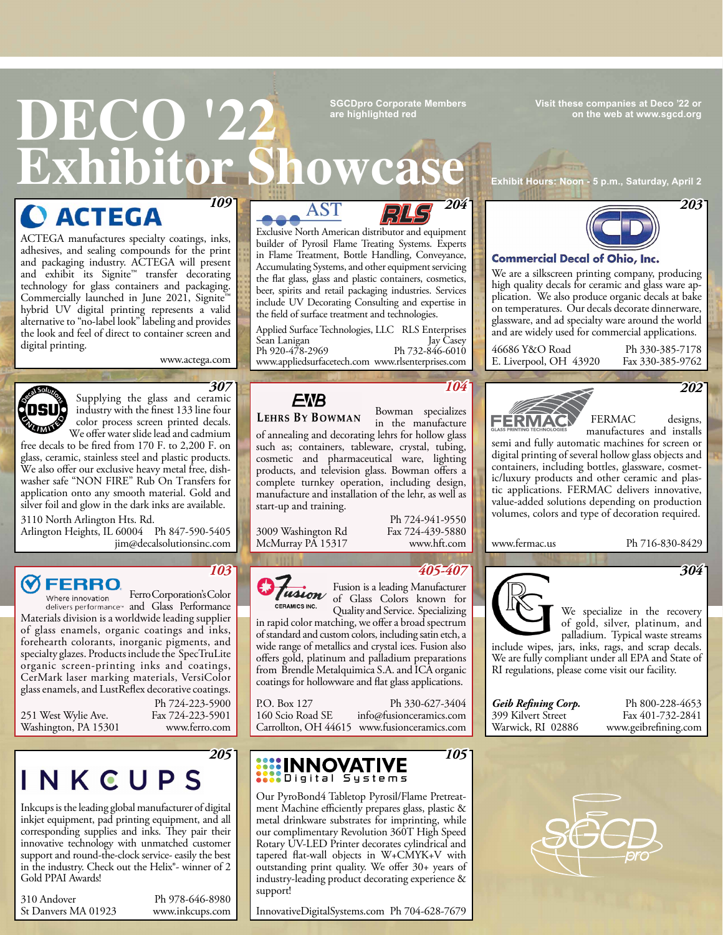**Visit these companies at Deco '22 or on the web at [www.sgcd.org](http://www.sgcd.org)**

### **DECO '222 Exhibitor Showca SGCDpro Corporate Members are highlighted red**

*109*

**O ACTEGA** 

ACTEGA manufactures specialty coatings, inks, adhesives, and sealing compounds for the print [and packaging industry. ACTEGA will present](http://www.actega.com)  and exhibit its Signite™ transfer decorating technology for glass containers and packaging. Commercially launched in June 2021, Signite<sup>™</sup> hybrid UV digital printing represents a valid alternative to "no-label look" labeling and provides the look and feel of direct to container screen and digital printing.

www.actega.com



Supplying the glass and ceramic industry with the finest 133 line four color process screen printed decals.

We offer water slide lead and cadmium free decals to be fired from 170 F. to 2,200 F. on glass, ceramic, stainless steel and plastic products. We also offer our exclusive heavy metal free, dish[washer safe "NON FIRE" Rub On Transfers for](http://www.decalsolutionsinc.com)  application onto any smooth material. Gold and silver foil and glow in the dark inks are available.

3110 North Arlington Hts. Rd.

Arlington Heights, IL 60004 Ph 847-590-5405 jim@decalsolutionsinc.com

#### **FERRO**

Ferro Corporation's Color Where innovation delivers performance<sup>®</sup> and Glass Performance [Materials division is a worldwide leading supplier](http://www.ferro.com)  of glass enamels, organic coatings and inks, forehearth colorants, inorganic pigments, and specialty glazes. Products include the SpecTruLite organic screen-printing inks and coatings, CerMark laser marking materials, VersiColor glass enamels, and LustReflex decorative coatings.

251 West Wylie Ave. Washington, PA 15301

Ph 724-223-5900 Fax 724-223-5901 www.ferro.com

*205* NKCUPS

Inkcups is the leading global manufacturer of digital inkjet equipment, pad printing equipment, and all [corresponding supplies and inks. They pair their](http://www.inkcups.com)  innovative technology with unmatched customer support and round-the-clock service- easily the best in the industry. Check out the Helix®- winner of 2 Gold PPAI Awards!

310 Andover St Danvers MA 01923

Ph 978-646-8980 www.inkcups.com





Exclusive North American distributor and equipment [builder of Pyrosil Flame Treating Systems. Experts](http://www.appliedsurfacetech.com)  in Flame Treatment, Bottle Handling, Conveyance, Accumulating Systems, and other equipment servicing the flat glass, glass and plastic containers, cosmetics, beer, spirits and retail packaging industries. Services include UV Decorating Consulting and expertise in the field of surface treatment and technologies.

Applied Surface Technologies, LLC RLS Enterprises Jay Casey Ph 732-846-6010 www.rlsenterprises.com www.appliedsurfacetech.com Sean Lanigan Ph 920-478-2969



**LEHRS BY BOWMAN** 

### Bowman specializes

in the manufacture [of annealing and decorating lehrs for hollow glass](http://www.hft.com)  such as; containers, tableware, crystal, tubing, cosmetic and pharmaceutical ware, lighting products, and television glass. Bowman offers a complete turnkey operation, including design, manufacture and installation of the lehr, as well as start-up and training.

3009 Washington Rd McMurray PA 15317

Ph 724-941-9550 Fax 724-439-5880 www.hft.com

*104*

*105*



Fusion is a leading Manufacturer of Glass Colors known for Quality and Service. Specializing *405-407*

in rapid color matching, we offer a broad spectrum [of standard and custom colors, including satin etch, a](http://www.fusionceramics.com)  wide range of metallics and crystal ices. Fusion also offers gold, platinum and palladium preparations from Brendle Metalquimica S.A. and ICA organic coatings for hollowware and flat glass applications.

Ph 330-627-3404 info@fusionceramics.com Carrollton, OH 44615 www.fusionceramics.com P.O. Box 127 160 Scio Road SE

### **WEINNOVATIVE**

Our PyroBond4 Tabletop Pyrosil/Flame Pretreatment Machine efficiently prepares glass, plastic & metal drinkware substrates for imprinting, while our complimentary Revolution 360T High Speed Rotary UV-LED Printer decorates cylindrical and tapered flat-wall objects in W+CMYK+V with [outstanding print quality. We offer 30+ years of](http://InnovativeDigitalSystems.com)  industry-leading product decorating experience & support!

InnovativeDigitalSystems.com Ph 704-628-7679

**Exhibit Hours: Noon - 5 p.m., Saturday, April 2**



#### **Commercial Decal of Ohio, Inc.**

We are a silkscreen printing company, producing high quality decals for ceramic and glass ware application. We also produce organic decals at bake on temperatures. Our decals decorate dinnerware, glassware, and ad specialty ware around the world and are widely used for commercial applications.

46686 Y&O Road E. Liverpool, OH 43920

Ph 330-385-7178 Fax 330-385-9762



FERMAC designs,

manufactures and installs [semi and fully automatic machines for screen or](http://www.fermac.us)  digital printing of several hollow glass objects and containers, including bottles, glassware, cosmetic/luxury products and other ceramic and plastic applications. FERMAC delivers innovative, value-added solutions depending on production volumes, colors and type of decoration required.

www.fermac.us Ph 716-830-8429

*304*



We specialize in the recovery of gold, silver, platinum, and palladium. Typical waste streams

[include wipes, jars, inks, rags, and scrap decals.](http://www.geibrefining.com)  We are fully compliant under all EPA and State of RI regulations, please come visit our facility.

*Geib Refining Corp.* 399 Kilvert Street Warwick, RI 02886

Ph 800-228-4653 Fax 401-732-2841 www.geibrefining.com



*103*